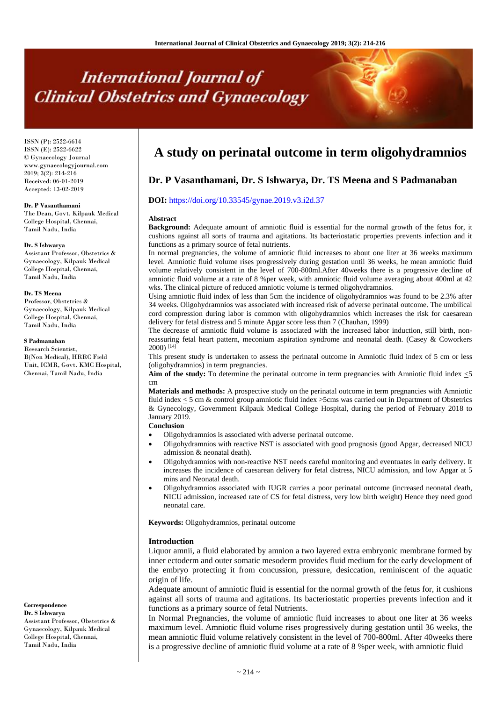# **International Journal of Clinical Obstetrics and Gynaecology**

ISSN (P): 2522-6614 ISSN (E): 2522-6622 © Gynaecology Journal www.gynaecologyjournal.com 2019; 3(2): 214-216 Received: 06-01-2019 Accepted: 13-02-2019

#### **Dr. P Vasanthamani**

The Dean, Govt. Kilpauk Medical College Hospital, Chennai, Tamil Nadu, India

#### **Dr. S Ishwarya**

Assistant Professor, Obstetrics & Gynaecology, Kilpauk Medical College Hospital, Chennai, Tamil Nadu, India

#### **Dr. TS Meena**

Professor, Obstetrics & Gynaecology, Kilpauk Medical College Hospital, Chennai, Tamil Nadu, India

# **S Padmanaban**

Research Scientist, B(Non Medical), HRRC Field Unit, ICMR, Govt. KMC Hospital, Chennai, Tamil Nadu, India

**Correspondence Dr. S Ishwarya**  Assistant Professor, Obstetrics &

Gynaecology, Kilpauk Medical College Hospital, Chennai, Tamil Nadu, India

# **A study on perinatal outcome in term oligohydramnios**

# **Dr. P Vasanthamani, Dr. S Ishwarya, Dr. TS Meena and S Padmanaban**

# **DOI:** <https://doi.org/10.33545/gynae.2019.v3.i2d.37>

#### **Abstract**

**Background:** Adequate amount of amniotic fluid is essential for the normal growth of the fetus for, it cushions against all sorts of trauma and agitations. Its bacteriostatic properties prevents infection and it functions as a primary source of fetal nutrients.

In normal pregnancies, the volume of amniotic fluid increases to about one liter at 36 weeks maximum level. Amniotic fluid volume rises progressively during gestation until 36 weeks, he mean amniotic fluid volume relatively consistent in the level of 700-800ml.After 40weeks there is a progressive decline of amniotic fluid volume at a rate of 8 %per week, with amniotic fluid volume averaging about 400ml at 42 wks. The clinical picture of reduced amniotic volume is termed oligohydramnios.

Using amniotic fluid index of less than 5cm the incidence of oligohydramnios was found to be 2.3% after 34 weeks. Oligohydramnios was associated with increased risk of adverse perinatal outcome. The umbilical cord compression during labor is common with oligohydramnios which increases the risk for caesarean delivery for fetal distress and 5 minute Apgar score less than 7 (Chauhan, 1999)

The decrease of amniotic fluid volume is associated with the increased labor induction, still birth, nonreassuring fetal heart pattern, meconium aspiration syndrome and neonatal death. (Casey & Coworkers 2000) [14]

This present study is undertaken to assess the perinatal outcome in Amniotic fluid index of 5 cm or less (oligohydramnios) in term pregnancies.

**Aim of the study:** To determine the perinatal outcome in term pregnancies with Amniotic fluid index <5 cm

**Materials and methods:** A prospective study on the perinatal outcome in term pregnancies with Amniotic fluid index < 5 cm & control group amniotic fluid index >5cms was carried out in Department of Obstetrics & Gynecology, Government Kilpauk Medical College Hospital, during the period of February 2018 to January 2019.

# **Conclusion**

- Oligohydramnios is associated with adverse perinatal outcome.
- Oligohydramnios with reactive NST is associated with good prognosis (good Apgar, decreased NICU admission & neonatal death).
- Oligohydramnios with non-reactive NST needs careful monitoring and eventuates in early delivery. It increases the incidence of caesarean delivery for fetal distress, NICU admission, and low Apgar at 5 mins and Neonatal death.
- Oligohydramnios associated with IUGR carries a poor perinatal outcome (increased neonatal death, NICU admission, increased rate of CS for fetal distress, very low birth weight) Hence they need good neonatal care.

**Keywords:** Oligohydramnios, perinatal outcome

#### **Introduction**

Liquor amnii, a fluid elaborated by amnion a two layered extra embryonic membrane formed by inner ectoderm and outer somatic mesoderm provides fluid medium for the early development of the embryo protecting it from concussion, pressure, desiccation, reminiscent of the aquatic origin of life.

Adequate amount of amniotic fluid is essential for the normal growth of the fetus for, it cushions against all sorts of trauma and agitations. Its bacteriostatic properties prevents infection and it functions as a primary source of fetal Nutrients.

In Normal Pregnancies, the volume of amniotic fluid increases to about one liter at 36 weeks maximum level. Amniotic fluid volume rises progressively during gestation until 36 weeks, the mean amniotic fluid volume relatively consistent in the level of 700-800ml. After 40weeks there is a progressive decline of amniotic fluid volume at a rate of 8 %per week, with amniotic fluid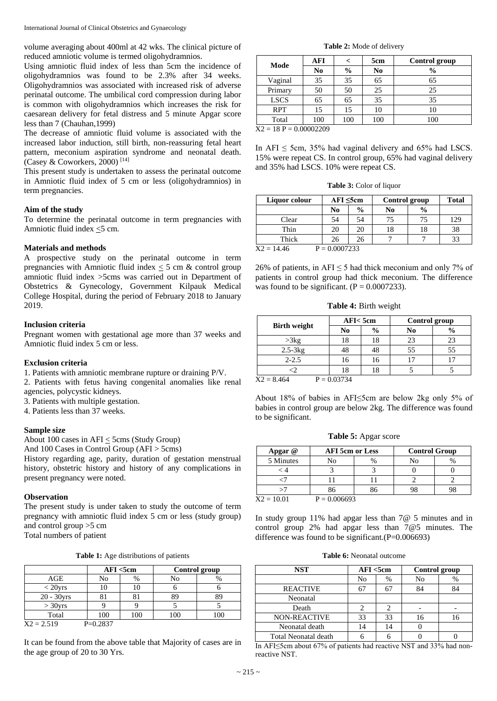volume averaging about 400ml at 42 wks. The clinical picture of reduced amniotic volume is termed oligohydramnios.

Using amniotic fluid index of less than 5cm the incidence of oligohydramnios was found to be 2.3% after 34 weeks. Oligohydramnios was associated with increased risk of adverse perinatal outcome. The umbilical cord compression during labor is common with oligohydramnios which increases the risk for caesarean delivery for fetal distress and 5 minute Apgar score less than 7 (Chauhan,1999)

The decrease of amniotic fluid volume is associated with the increased labor induction, still birth, non-reassuring fetal heart pattern, meconium aspiration syndrome and neonatal death. (Casey & Coworkers, 2000)<sup>[14]</sup>

This present study is undertaken to assess the perinatal outcome in Amniotic fluid index of 5 cm or less (oligohydramnios) in term pregnancies.

# **Aim of the study**

To determine the perinatal outcome in term pregnancies with Amniotic fluid index <5 cm.

# **Materials and methods**

A prospective study on the perinatal outcome in term pregnancies with Amniotic fluid index  $\leq$  5 cm & control group amniotic fluid index >5cms was carried out in Department of Obstetrics & Gynecology, Government Kilpauk Medical College Hospital, during the period of February 2018 to January 2019.

# **Inclusion criteria**

Pregnant women with gestational age more than 37 weeks and Amniotic fluid index 5 cm or less.

# **Exclusion criteria**

1. Patients with amniotic membrane rupture or draining P/V.

2. Patients with fetus having congenital anomalies like renal agencies, polycystic kidneys.

- 3. Patients with multiple gestation.
- 4. Patients less than 37 weeks.

#### **Sample size**

About 100 cases in  $AFI \leq 5cms$  (Study Group)

And 100 Cases in Control Group (AFI > 5cms)

History regarding age, parity, duration of gestation menstrual history, obstetric history and history of any complications in present pregnancy were noted.

# **Observation**

The present study is under taken to study the outcome of term pregnancy with amniotic fluid index 5 cm or less (study group) and control group >5 cm Total numbers of patient

**Table 1:** Age distributions of patients

|              |            | AFI < 5cm |     | Control group |  |  |
|--------------|------------|-----------|-----|---------------|--|--|
| AGE          | No         | %         | No  | $\%$          |  |  |
| $<$ 20yrs    |            | 10        |     |               |  |  |
| 20 - 30yrs   |            |           |     | 89            |  |  |
| $>$ 30yrs    |            |           |     |               |  |  |
| Total        | 100        | 100       | 100 | 100           |  |  |
| $X2 = 2.519$ | $P=0.2837$ |           |     |               |  |  |

It can be found from the above table that Majority of cases are in the age group of 20 to 30 Yrs.

**Table 2:** Mode of delivery

| AFI |               | 5cm            | Control group |
|-----|---------------|----------------|---------------|
| No  | $\frac{0}{0}$ | N <sub>0</sub> | $\frac{0}{0}$ |
| 35  | 35            | 65             | 65            |
| 50  | 50            | 25             | 25            |
| 65  | 65            | 35             | 35            |
| 15  | 15            | 10             |               |
| 100 | 100           | 100            | 100           |
|     | 0.0000000     |                |               |

 $X2 = 18$  P = 0.00002209

In AFI  $\leq$  5cm, 35% had vaginal delivery and 65% had LSCS. 15% were repeat CS. In control group, 65% had vaginal delivery and 35% had LSCS. 10% were repeat CS.

**Table 3:** Color of liquor

| Liquor colour      | $AFI \leq 5cm$ |               | Control group | Total         |     |
|--------------------|----------------|---------------|---------------|---------------|-----|
|                    | N <sub>0</sub> | $\frac{6}{9}$ | No            | $\frac{0}{0}$ |     |
| Clear              | 54             | 54            | 75            | 75            | 129 |
| Thin               | 20             | 20            |               | 18            | 38  |
| Thick              | 26             | 26            |               |               | 33  |
| $V_2 = 14.46$<br>D | $= 0.0007222$  |               |               |               |     |

 $X2 = 14.46$   $P = 0.0007233$ 

26% of patients, in  $AFI \le 5$  had thick meconium and only 7% of patients in control group had thick meconium. The difference was found to be significant.  $(P = 0.0007233)$ .

**Table 4:** Birth weight

| AFI < 5cm |               | Control group |               |  |
|-----------|---------------|---------------|---------------|--|
| No        | $\frac{0}{0}$ | No            | $\frac{0}{0}$ |  |
| 18        | 18            | 23            | 23            |  |
| 48        |               | 55            | 55            |  |
| 16        | 16            |               |               |  |
| 18        |               |               |               |  |
|           |               |               |               |  |

 $X2 = 8.464$   $P = 0.03734$ 

About 18% of babies in AFI≤5cm are below 2kg only 5% of babies in control group are below 2kg. The difference was found to be significant.

**Table 5:** Apgar score

| Apgar @      | <b>AFI</b> 5cm or Less |  | <b>Control Group</b> |  |  |
|--------------|------------------------|--|----------------------|--|--|
| 5 Minutes    | No                     |  | No                   |  |  |
|              |                        |  |                      |  |  |
|              |                        |  |                      |  |  |
|              | 86                     |  |                      |  |  |
| $X2 = 10.01$ | $P = 0.006693$         |  |                      |  |  |

In study group 11% had apgar less than 7@ 5 minutes and in control group 2% had apgar less than 7@5 minutes. The difference was found to be significant. $(P=0.006693)$ 

**Table 6:** Neonatal outcome

| <b>NST</b>                  | AFI < 5cm |      | Control group |    |
|-----------------------------|-----------|------|---------------|----|
|                             | No        | $\%$ | No            | %  |
| <b>REACTIVE</b>             | 67        |      | 84            | 84 |
| Neonatal                    |           |      |               |    |
| Death                       |           |      |               |    |
| <b>NON-REACTIVE</b>         | 33        | 33   | 16            |    |
| Neonatal death              | 14        | 14   |               |    |
| <b>Total Neonatal death</b> |           |      |               |    |

In AFI≤5cm about 67% of patients had reactive NST and 33% had nonreactive NST.